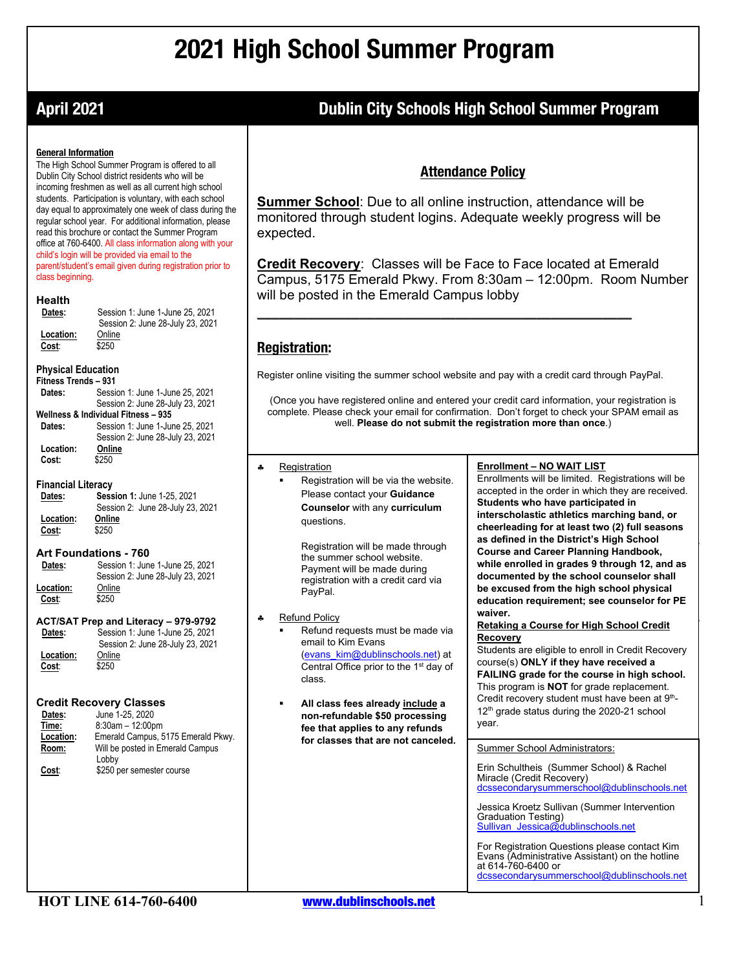# **2021 High School Summer Program**

### **April 2021 Dublin City Schools High School Summer Program**

#### **General Information**

The High School Summer Program is offered to all Dublin City School district residents who will be incoming freshmen as well as all current high school students. Participation is voluntary, with each school day equal to approximately one week of class during the regular school year. For additional information, please read this brochure or contact the Summer Program office at 760-6400. All class information along with your child's login will be provided via email to the parent/student's email given during registration prior to class beginning.

#### **Health**

| Dates:    | Session 1: June 1-June 25, 2021  |
|-----------|----------------------------------|
|           | Session 2: June 28-July 23, 2021 |
| Location: | Online                           |
| Cost:     | \$250                            |
|           |                                  |

### **Physical Education**

| Fitness Trends - 931                |                                   |  |
|-------------------------------------|-----------------------------------|--|
| Dates:                              | Session 1: June 1-June 25, 2021   |  |
|                                     | Session 2: June 28-July 23, 2021  |  |
| Wellness & Individual Fitness - 935 |                                   |  |
| Dates:                              | Session 1: June 1-June 25, 2021   |  |
|                                     | Session 2: June 28-July 23, 2021  |  |
| Location:                           | Online                            |  |
| Cost:                               | \$250                             |  |
| <b>Financial Literacy</b>           |                                   |  |
| Dates:                              | Session 1: June 1-25, 2021        |  |
|                                     | Session 2: June 28, July 23, 2021 |  |

#### Session 2: June 28-July 23, 2021  **Location: Online Cost:** \$250

#### **Art Foundations - 760**

| Dates:    | Session 1: June 1-June 25, 2021  |
|-----------|----------------------------------|
|           | Session 2: June 28-July 23, 2021 |
| Location: | Online                           |
| Cost:     | \$250                            |
|           |                                  |

#### **ACT/SAT Prep and Literacy – 979-9792 Dates:** Session 1: June 1-June 25, 2021

 Session 2: June 28-July 23, 2021 **Location:** Online<br>Cost: \$250 Cost:

### **Credit Recovery Classes**

| Dates:<br>Time:<br>Location: | <b>Credit Recovery Classes</b><br>June 1-25, 2020<br>$8:30$ am $-12:00$ pm<br>Emerald Campus, 5175 Emerald Pkwy. | All class fees already include a<br>non-refundable \$50 processing<br>fee that applies to any refunds | Credit recovery student must have been at 3 -<br>12 <sup>th</sup> grade status during the 2020-21 school<br>year.                                                    |
|------------------------------|------------------------------------------------------------------------------------------------------------------|-------------------------------------------------------------------------------------------------------|----------------------------------------------------------------------------------------------------------------------------------------------------------------------|
| Room:                        | Will be posted in Emerald Campus<br>Lobby                                                                        | for classes that are not canceled.                                                                    | <b>Summer School Administrators:</b>                                                                                                                                 |
| Cost:                        | \$250 per semester course                                                                                        |                                                                                                       | Erin Schultheis (Summer School) & Rachel<br>Miracle (Credit Recovery)<br>dcssecondarysummerschool@dublinschools.net                                                  |
|                              |                                                                                                                  |                                                                                                       | Jessica Kroetz Sullivan (Summer Intervention<br>Graduation Testing)<br>Sullivan Jessica@dublinschools.net                                                            |
|                              |                                                                                                                  |                                                                                                       | For Registration Questions please contact Kim<br>Evans (Administrative Assistant) on the hotline<br>at 614-760-6400 or<br>dessesseden vummersebeel@dublineebeels.net |

### **Attendance Policy**

**Summer School**: Due to all online instruction, attendance will be monitored through student logins. Adequate weekly progress will be expected.

**Credit Recovery**: Classes will be Face to Face located at Emerald Campus, 5175 Emerald Pkwy. From 8:30am – 12:00pm. Room Number will be posted in the Emerald Campus lobby

### **Registration:**

Register online visiting the summer school website and pay with a credit card through PayPal.

**\_\_\_\_\_\_\_\_\_\_\_\_\_\_\_\_\_\_\_\_\_\_\_\_\_\_\_\_\_\_\_\_\_\_\_\_\_\_\_\_\_\_\_\_\_\_\_\_\_\_\_**

(Once you have registered online and entered your credit card information, your registration is complete. Please check your email for confirmation. Don't forget to check your SPAM email as well. **Please do not submit the registration more than once**.)

#### § Registration

§ Registration will be via the website. Please contact your **Guidance Counselor** with any **curriculum** questions.

Registration will be made through the summer school website. Payment will be made during registration with a credit card via PayPal.

#### Refund Policy

- <u>Refund Policy</u><br>■ Refund requests must be made via email to Kim Evans<br>(<u>evans\_kim@dublinschools.net</u>) at email to Kim Evans Central Office prior to the 1<sup>st</sup> day of class.
- § **All class fees already include a**

#### **Enrollment – NO WAIT LIST**

Enrollments will be limited. Registrations will be accepted in the order in which they are received. **Students who have participated in interscholastic athletics marching band, or cheerleading for at least two (2) full seasons as defined in the District's High School Course and Career Planning Handbook, while enrolled in grades 9 through 12, and as documented by the school counselor shall be excused from the high school physical education requirement; see counselor for PE waiver.**

#### **Retaking a Course for High School Credit Recovery**

Students are eligible to enroll in Credit Recovery course(s) **ONLY if they have received a FAILING grade for the course in high school.** This program is **NOT** for grade replacement. Credit recovery student must have been at 9<sup>th</sup>-

at 614-760-6400 or<br><u>dcssecondarysummerschool@dublinschools.net</u>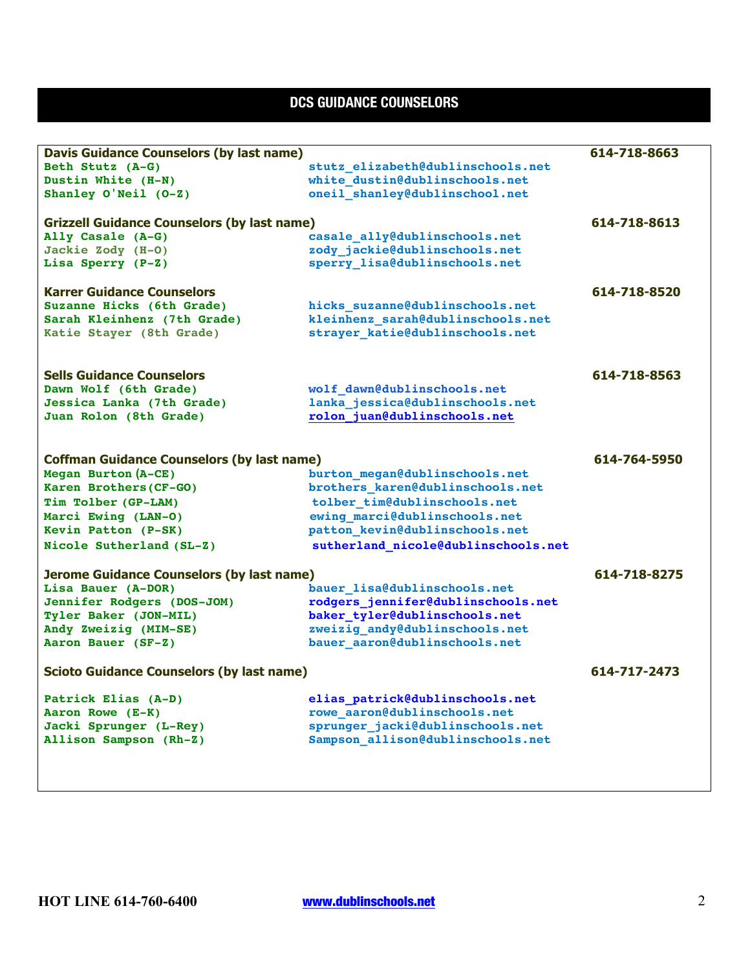## **DCS GUIDANCE COUNSELORS**

| <b>Davis Guidance Counselors (by last name)</b>    |                                     | 614-718-8663 |
|----------------------------------------------------|-------------------------------------|--------------|
| Beth Stutz (A-G)                                   | stutz elizabeth@dublinschools.net   |              |
| Dustin White (H-N)                                 | white dustin@dublinschools.net      |              |
| Shanley O'Neil (0-Z)                               | oneil shanley@dublinschool.net      |              |
|                                                    |                                     |              |
| <b>Grizzell Guidance Counselors (by last name)</b> |                                     | 614-718-8613 |
| Ally Casale (A-G)                                  | casale ally@dublinschools.net       |              |
| Jackie Zody (H-O)                                  | zody_jackie@dublinschools.net       |              |
| Lisa Sperry (P-Z)                                  | sperry lisa@dublinschools.net       |              |
| <b>Karrer Guidance Counselors</b>                  |                                     | 614-718-8520 |
| Suzanne Hicks (6th Grade)                          | hicks suzanne@dublinschools.net     |              |
| Sarah Kleinhenz (7th Grade)                        | kleinhenz sarah@dublinschools.net   |              |
| Katie Stayer (8th Grade)                           | strayer katie@dublinschools.net     |              |
|                                                    |                                     |              |
|                                                    |                                     |              |
| <b>Sells Guidance Counselors</b>                   |                                     | 614-718-8563 |
| Dawn Wolf (6th Grade)                              | wolf dawn@dublinschools.net         |              |
| Jessica Lanka (7th Grade)                          | lanka jessica@dublinschools.net     |              |
| Juan Rolon (8th Grade)                             | rolon juan@dublinschools.net        |              |
|                                                    |                                     |              |
| <b>Coffman Guidance Counselors (by last name)</b>  |                                     | 614-764-5950 |
| Megan Burton (A-CE)                                | burton megan@dublinschools.net      |              |
| Karen Brothers (CF-GO)                             | brothers karen@dublinschools.net    |              |
| Tim Tolber (GP-LAM)                                | tolber tim@dublinschools.net        |              |
| Marci Ewing (LAN-O)                                | ewing marci@dublinschools.net       |              |
| Kevin Patton (P-SK)                                | patton kevin@dublinschools.net      |              |
| Nicole Sutherland (SL-Z)                           | sutherland nicole@dublinschools.net |              |
| <b>Jerome Guidance Counselors (by last name)</b>   |                                     | 614-718-8275 |
| Lisa Bauer (A-DOR)                                 | bauer lisa@dublinschools.net        |              |
| Jennifer Rodgers (DOS-JOM)                         | rodgers jennifer@dublinschools.net  |              |
| Tyler Baker (JON-MIL)                              | baker_tyler@dublinschools.net       |              |
| Andy Zweizig (MIM-SE)                              | zweizig andy@dublinschools.net      |              |
| Aaron Bauer (SF-Z)                                 | bauer aaron@dublinschools.net       |              |
|                                                    |                                     |              |
| <b>Scioto Guidance Counselors (by last name)</b>   |                                     | 614-717-2473 |
| Patrick Elias (A-D)                                | elias patrick@dublinschools.net     |              |
| Aaron Rowe (E-K)                                   | rowe_aaron@dublinschools.net        |              |
| Jacki Sprunger (L-Rey)                             | sprunger_jacki@dublinschools.net    |              |
| Allison Sampson (Rh-Z)                             | Sampson allison@dublinschools.net   |              |
|                                                    |                                     |              |
|                                                    |                                     |              |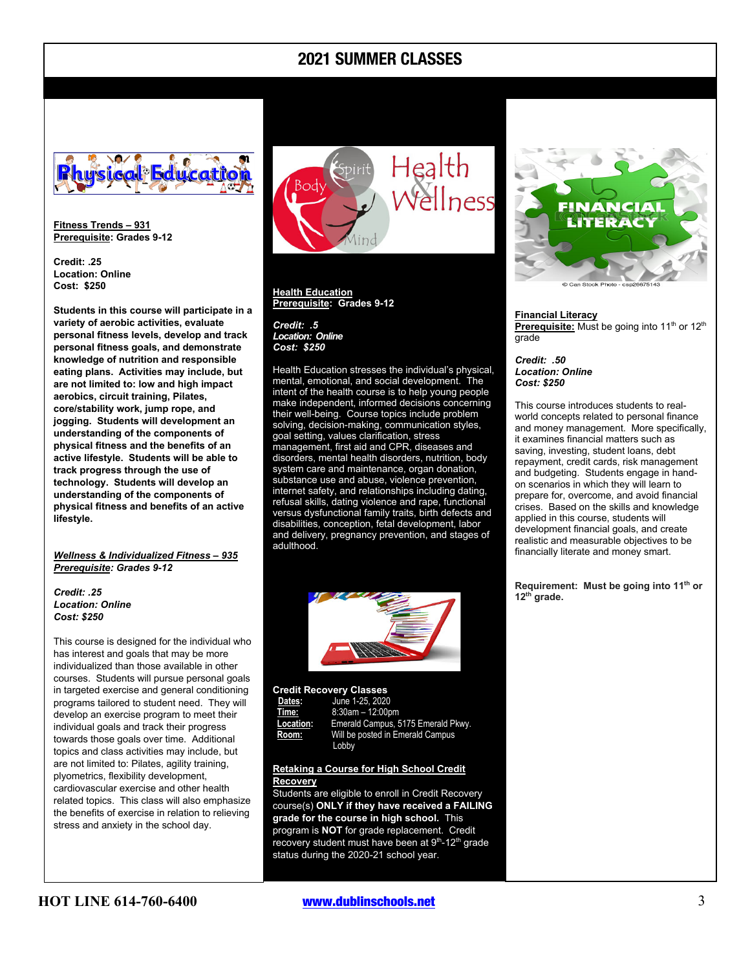### **2021 SUMMER CLASSES**



**Fitness Trends – 931 Prerequisite: Grades 9-12**

**Credit: .25 Location: Online Cost: \$250**

**Students in this course will participate in a variety of aerobic activities, evaluate personal fitness levels, develop and track personal fitness goals, and demonstrate knowledge of nutrition and responsible eating plans. Activities may include, but are not limited to: low and high impact aerobics, circuit training, Pilates, core/stability work, jump rope, and jogging. Students will development an understanding of the components of physical fitness and the benefits of an active lifestyle. Students will be able to track progress through the use of technology. Students will develop an understanding of the components of physical fitness and benefits of an active lifestyle.**

*Wellness & Individualized Fitness – 935 Prerequisite: Grades 9-12*

#### *Credit: .25 Location: Online Cost: \$250*

This course is designed for the individual who has interest and goals that may be more individualized than those available in other courses. Students will pursue personal goals in targeted exercise and general conditioning programs tailored to student need. They will develop an exercise program to meet their individual goals and track their progress towards those goals over time. Additional topics and class activities may include, but are not limited to: Pilates, agility training, plyometrics, flexibility development, cardiovascular exercise and other health related topics. This class will also emphasize the benefits of exercise in relation to relieving stress and anxiety in the school day.



**Health Education Prerequisite: Grades 9-12**

*Credit: .5 Location: Online Cost: \$250*

Health Education stresses the individual's physical, mental, emotional, and social development. The intent of the health course is to help young people make independent, informed decisions concerning their well-being. Course topics include problem solving, decision-making, communication styles, goal setting, values clarification, stress management, first aid and CPR, diseases and disorders, mental health disorders, nutrition, body system care and maintenance, organ donation, substance use and abuse, violence prevention, internet safety, and relationships including dating, refusal skills, dating violence and rape, functional versus dysfunctional family traits, birth defects and disabilities, conception, fetal development, labor and delivery, pregnancy prevention, and stages of adulthood.



#### **Credit Recovery Classes**

| Dates:    | June 1-25, 2020                    |
|-----------|------------------------------------|
| Time:     | $8:30am - 12:00dm$                 |
| Location: | Emerald Campus, 5175 Emerald Pkwy. |
| Room:     | Will be posted in Emerald Campus   |
|           | Lobby                              |

#### **Retaking a Course for High School Credit Recovery**

Students are eligible to enroll in Credit Recovery course(s) **ONLY if they have received a FAILING grade for the course in high school.** This program is **NOT** for grade replacement. Credit recovery student must have been at 9<sup>th</sup>-12<sup>th</sup> grade status during the 2020-21 school year.



#### **Financial Literacy**

**Prerequisite:** Must be going into 11<sup>th</sup> or 12<sup>th</sup> grade

*Credit: .50 Location: Online Cost: \$250*

This course introduces students to realworld concepts related to personal finance and money management. More specifically, it examines financial matters such as saving, investing, student loans, debt repayment, credit cards, risk management and budgeting. Students engage in handon scenarios in which they will learn to prepare for, overcome, and avoid financial crises. Based on the skills and knowledge applied in this course, students will development financial goals, and create realistic and measurable objectives to be financially literate and money smart.

**Requirement: Must be going into 11th or 12th grade.**